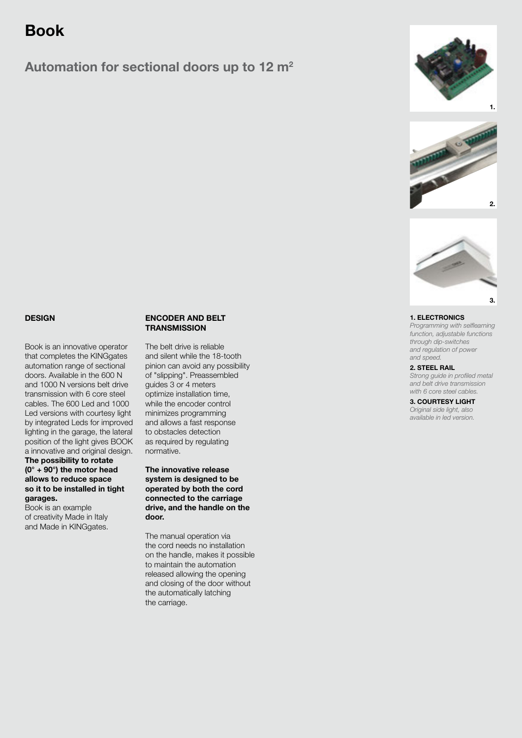# Book

## Automation for sectional doors up to 12 m<sup>2</sup>







### **DESIGN**

Book is an innovative operator that completes the KINGgates automation range of sectional doors. Available in the 600 N and 1000 N versions belt drive transmission with 6 core steel cables. The 600 Led and 1000 Led versions with courtesy light by integrated Leds for improved lighting in the garage, the lateral position of the light gives BOOK a innovative and original design.

#### The possibility to rotate (0° + 90°) the motor head allows to reduce space so it to be installed in tight garages.

Book is an example of creativity Made in Italy and Made in KINGgates.

#### ENCODER AND BELT **TRANSMISSION**

The belt drive is reliable and silent while the 18-tooth pinion can avoid any possibility of "slipping". Preassembled guides 3 or 4 meters optimize installation time, while the encoder control minimizes programming and allows a fast response to obstacles detection as required by regulating normative.

The innovative release system is designed to be operated by both the cord connected to the carriage drive, and the handle on the door.

The manual operation via the cord needs no installation on the handle, makes it possible to maintain the automation released allowing the opening and closing of the door without the automatically latching the carriage.

#### 1. ELECTRONICS

Programming with selflearning *function, adjustable functions through dip-switches and regulation of power and speed.*

#### 2. STEEL RAIL

Strong guide in profiled metal *and belt drive transmission with 6 core steel cables.*

3. COURTESY LIGHT *Original side light, also available in led version.*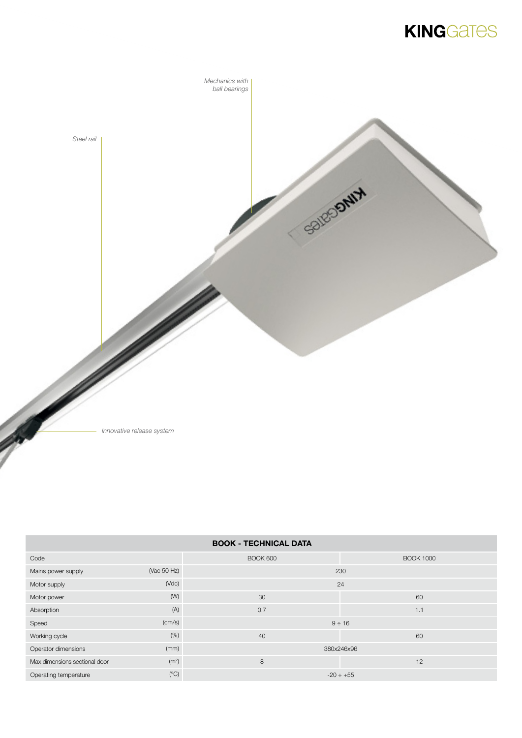# **KINGGATES**



*Innovative release system*

| <b>BOOK - TECHNICAL DATA</b>  |                   |                 |                  |  |  |
|-------------------------------|-------------------|-----------------|------------------|--|--|
| Code                          |                   | <b>BOOK 600</b> | <b>BOOK 1000</b> |  |  |
| Mains power supply            | (Vac 50 Hz)       | 230             |                  |  |  |
| Motor supply                  | $(\text{Vdc})$    | 24              |                  |  |  |
| Motor power                   | (W)               | 30              | 60               |  |  |
| Absorption                    | (A)               | 0.7             | 1.1              |  |  |
| Speed                         | (cm/s)            | $9 \div 16$     |                  |  |  |
| Working cycle                 | (% )              | 40              | 60               |  |  |
| Operator dimensions           | (mm)              | 380x246x96      |                  |  |  |
| Max dimensions sectional door | (m <sup>2</sup> ) | 8               | 12               |  |  |
| Operating temperature         | (C)               | $-20 \div +55$  |                  |  |  |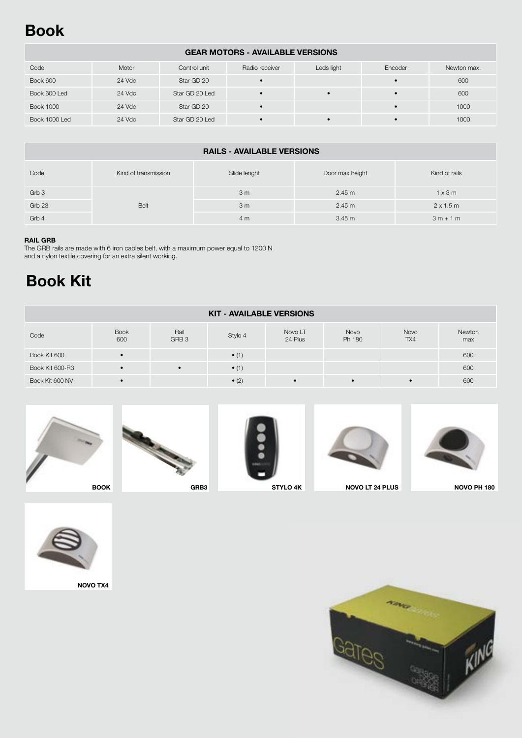# Book

### GEAR MOTORS - AVAILABLE VERSIONS

| Code             | Motor  | Control unit   | Radio receiver | Leds light | Encoder | Newton max. |
|------------------|--------|----------------|----------------|------------|---------|-------------|
| Book 600         | 24 Vdc | Star GD 20     |                |            |         | 600         |
| Book 600 Led     | 24 Vdc | Star GD 20 Led |                |            |         | 600         |
| <b>Book 1000</b> | 24 Vdc | Star GD 20     |                |            |         | 1000        |
| Book 1000 Led    | 24 Vdc | Star GD 20 Led |                |            |         | 1000        |

| <b>RAILS - AVAILABLE VERSIONS</b> |                      |                |                 |                  |  |
|-----------------------------------|----------------------|----------------|-----------------|------------------|--|
| Code                              | Kind of transmission | Slide lenght   | Door max height | Kind of rails    |  |
| Grb 3                             |                      | 3 <sub>m</sub> | 2.45 m          | $1 \times 3$ m   |  |
| Grb 23                            | Belt                 | 3 <sub>m</sub> | 2.45 m          | $2 \times 1.5$ m |  |
| Grb 4                             |                      | 4 m            | 3.45 m          | $3m + 1m$        |  |

#### RAIL GRB

The GRB rails are made with 6 iron cables belt, with a maximum power equal to 1200 N and a nylon textile covering for an extra silent working.

# Book Kit

| <b>KIT - AVAILABLE VERSIONS</b> |                    |                          |               |                    |                |             |               |
|---------------------------------|--------------------|--------------------------|---------------|--------------------|----------------|-------------|---------------|
| Code                            | <b>Book</b><br>600 | Rail<br>GRB <sub>3</sub> | Stylo 4       | Novo LT<br>24 Plus | Novo<br>Ph 180 | Novo<br>TX4 | Newton<br>max |
| Book Kit 600                    |                    |                          | $\bullet$ (1) |                    |                |             | 600           |
| Book Kit 600-R3                 |                    | $\bullet$                | $\bullet$ (1) |                    |                |             | 600           |
| Book Kit 600 NV                 | $\bullet$          |                          | $\bullet$ (2) |                    |                |             | 600           |









STYLO 4K NOVO LT 24 PLUS NOVO PH 180